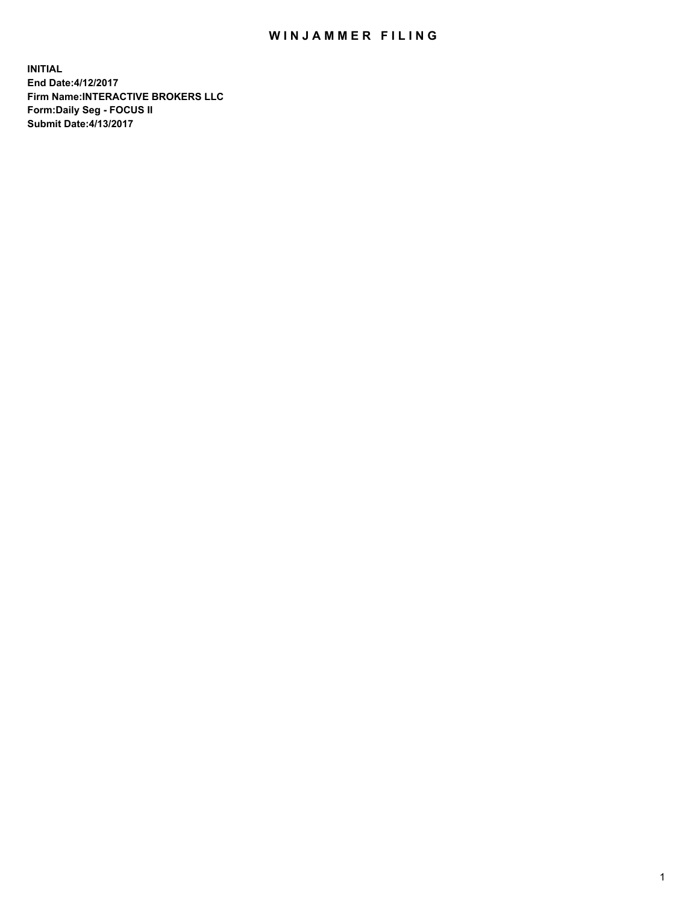## WIN JAMMER FILING

**INITIAL End Date:4/12/2017 Firm Name:INTERACTIVE BROKERS LLC Form:Daily Seg - FOCUS II Submit Date:4/13/2017**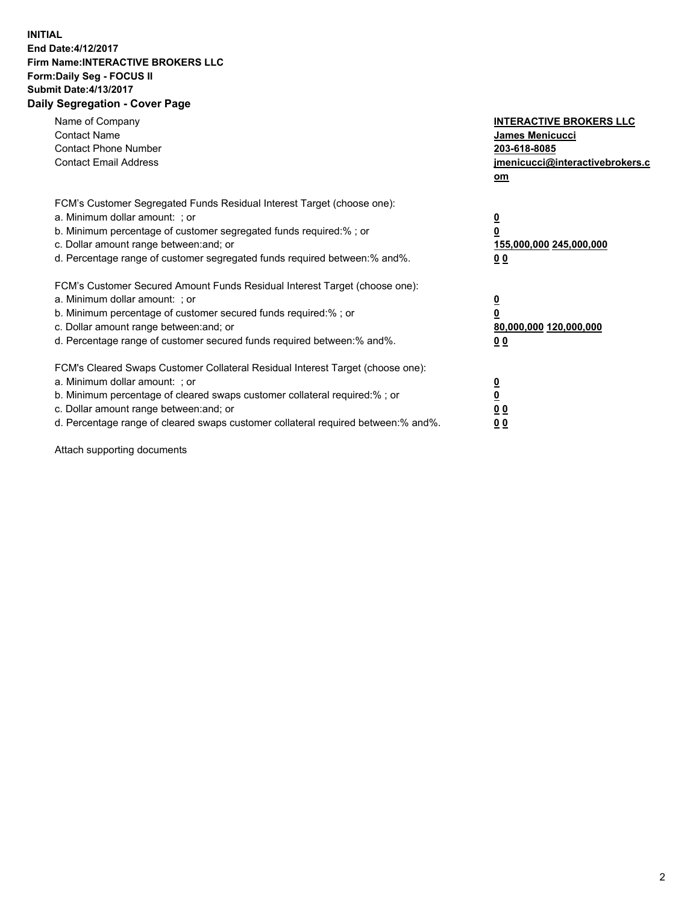## **INITIAL End Date:4/12/2017 Firm Name:INTERACTIVE BROKERS LLC Form:Daily Seg - FOCUS II Submit Date:4/13/2017 Daily Segregation - Cover Page**

| Name of Company<br><b>Contact Name</b><br><b>Contact Phone Number</b><br><b>Contact Email Address</b>                                                                                                                                                                                                                          | <b>INTERACTIVE BROKERS LLC</b><br><b>James Menicucci</b><br>203-618-8085<br>jmenicucci@interactivebrokers.c<br>om |
|--------------------------------------------------------------------------------------------------------------------------------------------------------------------------------------------------------------------------------------------------------------------------------------------------------------------------------|-------------------------------------------------------------------------------------------------------------------|
| FCM's Customer Segregated Funds Residual Interest Target (choose one):<br>a. Minimum dollar amount: ; or<br>b. Minimum percentage of customer segregated funds required:% ; or<br>c. Dollar amount range between: and; or<br>d. Percentage range of customer segregated funds required between: % and %.                       | $\overline{\mathbf{0}}$<br>0<br>155,000,000 245,000,000<br>00                                                     |
| FCM's Customer Secured Amount Funds Residual Interest Target (choose one):<br>a. Minimum dollar amount: ; or<br>b. Minimum percentage of customer secured funds required:%; or<br>c. Dollar amount range between: and; or<br>d. Percentage range of customer secured funds required between: % and %.                          | $\overline{\mathbf{0}}$<br>0<br>80,000,000 120,000,000<br>00                                                      |
| FCM's Cleared Swaps Customer Collateral Residual Interest Target (choose one):<br>a. Minimum dollar amount: ; or<br>b. Minimum percentage of cleared swaps customer collateral required:% ; or<br>c. Dollar amount range between: and; or<br>d. Percentage range of cleared swaps customer collateral required between:% and%. | $\overline{\mathbf{0}}$<br>$\overline{\mathbf{0}}$<br>00<br>0 <sub>0</sub>                                        |

Attach supporting documents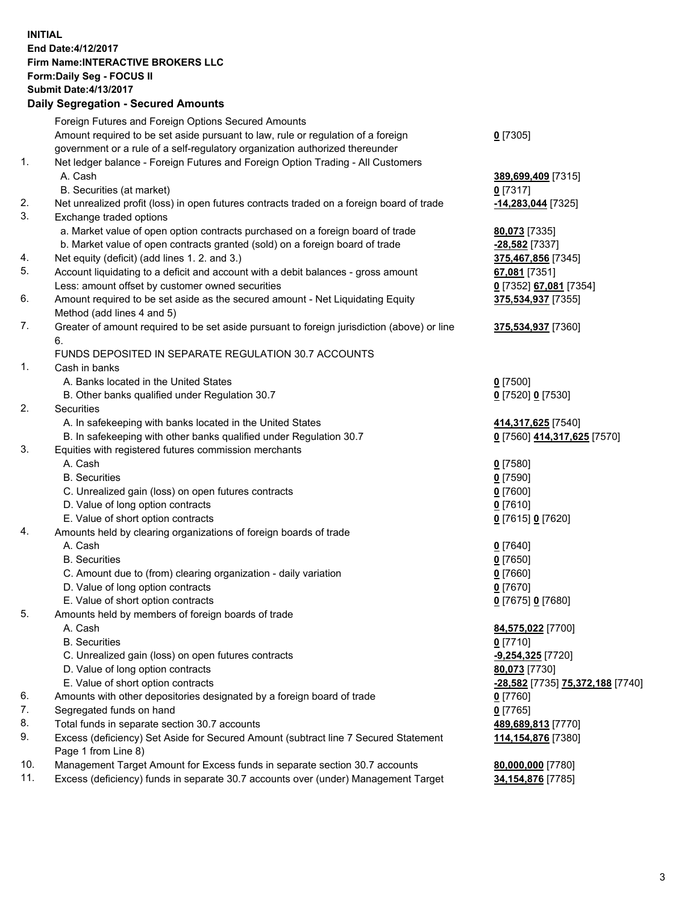## **INITIAL End Date:4/12/2017 Firm Name:INTERACTIVE BROKERS LLC Form:Daily Seg - FOCUS II Submit Date:4/13/2017 Daily Segregation - Secured Amounts**

|     | Daily Segregation - Secured Alliounts                                                       |                                         |
|-----|---------------------------------------------------------------------------------------------|-----------------------------------------|
|     | Foreign Futures and Foreign Options Secured Amounts                                         |                                         |
|     | Amount required to be set aside pursuant to law, rule or regulation of a foreign            | $0$ [7305]                              |
|     | government or a rule of a self-regulatory organization authorized thereunder                |                                         |
| 1.  | Net ledger balance - Foreign Futures and Foreign Option Trading - All Customers             |                                         |
|     | A. Cash                                                                                     | 389,699,409 [7315]                      |
|     | B. Securities (at market)                                                                   | $0$ [7317]                              |
| 2.  |                                                                                             |                                         |
| 3.  | Net unrealized profit (loss) in open futures contracts traded on a foreign board of trade   | -14,283,044 [7325]                      |
|     | Exchange traded options                                                                     |                                         |
|     | a. Market value of open option contracts purchased on a foreign board of trade              | 80,073 [7335]                           |
|     | b. Market value of open contracts granted (sold) on a foreign board of trade                | -28,582 [7337]                          |
| 4.  | Net equity (deficit) (add lines 1.2. and 3.)                                                | 375,467,856 [7345]                      |
| 5.  | Account liquidating to a deficit and account with a debit balances - gross amount           | 67,081 [7351]                           |
|     | Less: amount offset by customer owned securities                                            | 0 [7352] 67,081 [7354]                  |
| 6.  | Amount required to be set aside as the secured amount - Net Liquidating Equity              | 375,534,937 [7355]                      |
|     | Method (add lines 4 and 5)                                                                  |                                         |
| 7.  | Greater of amount required to be set aside pursuant to foreign jurisdiction (above) or line | 375,534,937 [7360]                      |
|     | 6.                                                                                          |                                         |
|     | FUNDS DEPOSITED IN SEPARATE REGULATION 30.7 ACCOUNTS                                        |                                         |
| 1.  | Cash in banks                                                                               |                                         |
|     | A. Banks located in the United States                                                       | $0$ [7500]                              |
|     | B. Other banks qualified under Regulation 30.7                                              | 0 [7520] 0 [7530]                       |
| 2.  | Securities                                                                                  |                                         |
|     | A. In safekeeping with banks located in the United States                                   | 414,317,625 [7540]                      |
|     | B. In safekeeping with other banks qualified under Regulation 30.7                          | 0 [7560] 414,317,625 [7570]             |
| 3.  | Equities with registered futures commission merchants                                       |                                         |
|     | A. Cash                                                                                     | $0$ [7580]                              |
|     | <b>B.</b> Securities                                                                        | $0$ [7590]                              |
|     | C. Unrealized gain (loss) on open futures contracts                                         | $0$ [7600]                              |
|     | D. Value of long option contracts                                                           | $0$ [7610]                              |
|     | E. Value of short option contracts                                                          | 0 [7615] 0 [7620]                       |
| 4.  | Amounts held by clearing organizations of foreign boards of trade                           |                                         |
|     | A. Cash                                                                                     | $0$ [7640]                              |
|     | <b>B.</b> Securities                                                                        |                                         |
|     |                                                                                             | $0$ [7650]                              |
|     | C. Amount due to (from) clearing organization - daily variation                             | $0$ [7660]                              |
|     | D. Value of long option contracts                                                           | $0$ [7670]                              |
|     | E. Value of short option contracts                                                          | 0 [7675] 0 [7680]                       |
| 5.  | Amounts held by members of foreign boards of trade                                          |                                         |
|     | A. Cash                                                                                     | 84,575,022 [7700]                       |
|     | <b>B.</b> Securities                                                                        | $0$ [7710]                              |
|     | C. Unrealized gain (loss) on open futures contracts                                         | -9,254,325 [7720]                       |
|     | D. Value of long option contracts                                                           | 80,073 [7730]                           |
|     | E. Value of short option contracts                                                          | <u>-28,582</u> [7735] 75,372,188 [7740] |
| 6.  | Amounts with other depositories designated by a foreign board of trade                      | 0 [7760]                                |
| 7.  | Segregated funds on hand                                                                    | $0$ [7765]                              |
| 8.  | Total funds in separate section 30.7 accounts                                               | 489,689,813 [7770]                      |
| 9.  | Excess (deficiency) Set Aside for Secured Amount (subtract line 7 Secured Statement         | 114,154,876 [7380]                      |
|     | Page 1 from Line 8)                                                                         |                                         |
| 10. | Management Target Amount for Excess funds in separate section 30.7 accounts                 | 80,000,000 [7780]                       |
| 11. | Excess (deficiency) funds in separate 30.7 accounts over (under) Management Target          | 34,154,876 [7785]                       |
|     |                                                                                             |                                         |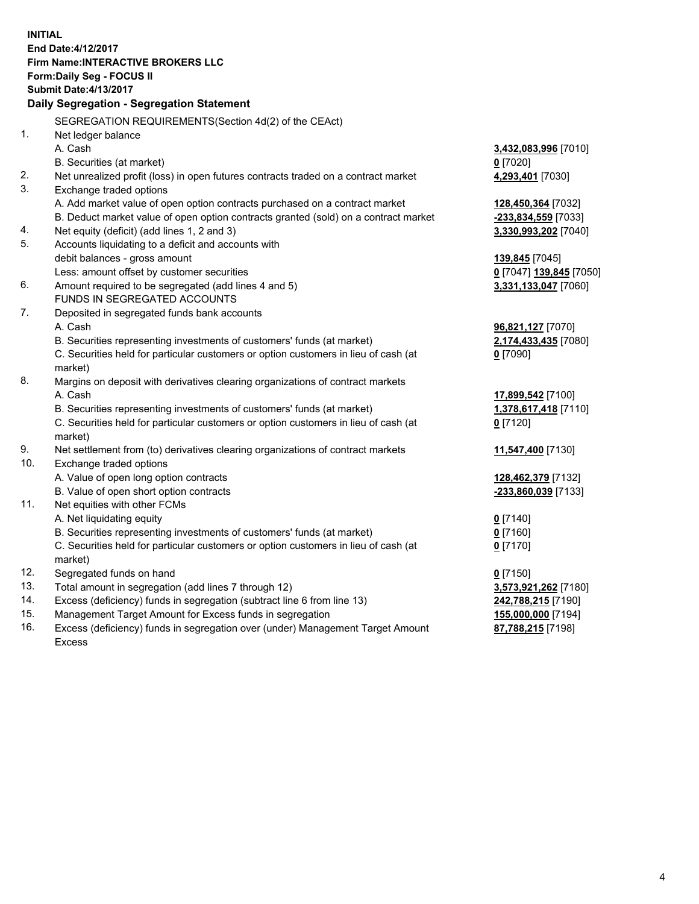**INITIAL End Date:4/12/2017 Firm Name:INTERACTIVE BROKERS LLC Form:Daily Seg - FOCUS II Submit Date:4/13/2017 Daily Segregation - Segregation Statement** SEGREGATION REQUIREMENTS(Section 4d(2) of the CEAct) 1. Net ledger balance A. Cash **3,432,083,996** [7010] B. Securities (at market) **0** [7020] 2. Net unrealized profit (loss) in open futures contracts traded on a contract market **4,293,401** [7030] 3. Exchange traded options A. Add market value of open option contracts purchased on a contract market **128,450,364** [7032] B. Deduct market value of open option contracts granted (sold) on a contract market **-233,834,559** [7033] 4. Net equity (deficit) (add lines 1, 2 and 3) **3,330,993,202** [7040] 5. Accounts liquidating to a deficit and accounts with debit balances - gross amount **139,845** [7045] Less: amount offset by customer securities **0** [7047] **139,845** [7050] 6. Amount required to be segregated (add lines 4 and 5) **3,331,133,047** [7060] FUNDS IN SEGREGATED ACCOUNTS 7. Deposited in segregated funds bank accounts A. Cash **96,821,127** [7070] B. Securities representing investments of customers' funds (at market) **2,174,433,435** [7080] C. Securities held for particular customers or option customers in lieu of cash (at market) **0** [7090] 8. Margins on deposit with derivatives clearing organizations of contract markets A. Cash **17,899,542** [7100] B. Securities representing investments of customers' funds (at market) **1,378,617,418** [7110] C. Securities held for particular customers or option customers in lieu of cash (at market) **0** [7120] 9. Net settlement from (to) derivatives clearing organizations of contract markets **11,547,400** [7130] 10. Exchange traded options A. Value of open long option contracts **128,462,379** [7132] B. Value of open short option contracts **-233,860,039** [7133] 11. Net equities with other FCMs A. Net liquidating equity **0** [7140] B. Securities representing investments of customers' funds (at market) **0** [7160] C. Securities held for particular customers or option customers in lieu of cash (at market) **0** [7170] 12. Segregated funds on hand **0** [7150] 13. Total amount in segregation (add lines 7 through 12) **3,573,921,262** [7180] 14. Excess (deficiency) funds in segregation (subtract line 6 from line 13) **242,788,215** [7190] 15. Management Target Amount for Excess funds in segregation **155,000,000** [7194] **87,788,215** [7198]

16. Excess (deficiency) funds in segregation over (under) Management Target Amount Excess